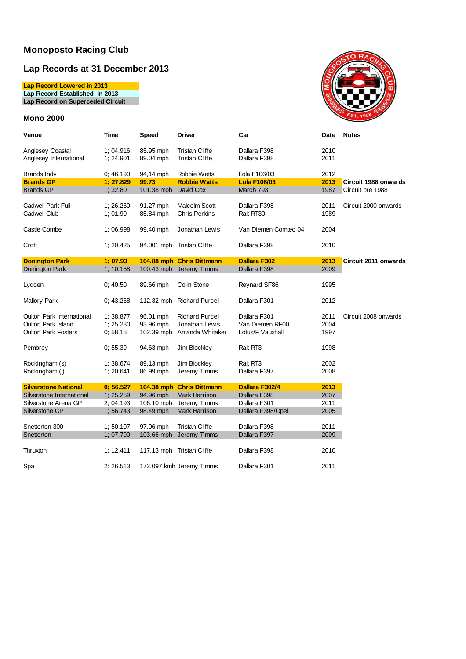### **Lap Records at 31 December 2013**

**Lap Record Lowered in 2013 Lap Record Established in 2013 Lap Record on Superceded Circuit**

### **Mono 2000**



| Venue                            | Time      | Speed                | <b>Driver</b>             | Car                  | Date | <b>Notes</b>                |
|----------------------------------|-----------|----------------------|---------------------------|----------------------|------|-----------------------------|
| Anglesey Coastal                 | 1; 04.916 | 85.95 mph            | <b>Tristan Cliffe</b>     | Dallara F398         | 2010 |                             |
| Anglesey International           | 1:24.901  | 89.04 mph            | <b>Tristan Cliffe</b>     | Dallara F398         | 2011 |                             |
| <b>Brands Indy</b>               | 0:46.190  | 94,14 mph            | Robbie Watts              | Lola F106/03         | 2012 |                             |
| <b>Brands GP</b>                 | 1:27.829  | 99.73                | <b>Robbie Watts</b>       | <b>Lola F106/03</b>  | 2013 | <b>Circuit 1988 onwards</b> |
| <b>Brands GP</b>                 | 1; 32.80  | 101.38 mph David Cox |                           | March 793            | 1987 | Circuit pre 1988            |
| Cadwell Park Full                | 1:26.260  | 91.27 mph            | Malcolm Scott             | Dallara F398         | 2011 | Circuit 2000 onwards        |
| Cadwell Club                     | 1:01.90   | 85.84 mph            | <b>Chris Perkins</b>      | Ralt RT30            | 1989 |                             |
| Castle Combe                     | 1; 06.998 | 99.40 mph            | Jonathan Lewis            | Van Diemen Comtec 04 | 2004 |                             |
| Croft                            | 1:20.425  |                      | 94.001 mph Tristan Cliffe | Dallara F398         | 2010 |                             |
| <b>Donington Park</b>            | 1:07.93   |                      | 104.88 mph Chris Dittmann | <b>Dallara F302</b>  | 2013 | Circuit 2011 onwards        |
| Donington Park                   | 1; 10.158 |                      | 100.43 mph Jeremy Timms   | Dallara F398         | 2009 |                             |
|                                  |           |                      |                           |                      |      |                             |
| Lydden                           | 0; 40.50  | 89.66 mph            | Colin Stone               | Reynard SF86         | 1995 |                             |
| <b>Mallory Park</b>              | 0; 43.268 | 112.32 mph           | <b>Richard Purcell</b>    | Dallara F301         | 2012 |                             |
| <b>Oulton Park International</b> | 1; 38.877 | 96.01 mph            | <b>Richard Purcell</b>    | Dallara F301         | 2011 | Circuit 2008 onwards        |
| <b>Oulton Park Island</b>        | 1; 25.280 | 93.96 mph            | Jonathan Lewis            | Van Diemen RF00      | 2004 |                             |
| <b>Oulton Park Fosters</b>       | 0:58.15   | 102.39 mph           | Amanda Whitaker           | Lotus/F Vauxhall     | 1997 |                             |
| Pembrey                          | 0; 55.39  | 94.63 mph            | Jim Blockley              | Ralt RT3             | 1998 |                             |
| Rockingham (s)                   | 1; 38.674 | 89.13 mph            | Jim Blockley              | Ralt RT3             | 2002 |                             |
| Rockingham (I)                   | 1; 20.641 | 86.99 mph            | Jeremy Timms              | Dallara F397         | 2008 |                             |
|                                  |           |                      |                           |                      |      |                             |
| <b>Silverstone National</b>      | 0; 56.527 |                      | 104.38 mph Chris Dittmann | Dallara F302/4       | 2013 |                             |
| Silverstone International        | 1; 25.259 | 94.96 mph            | <b>Mark Harrison</b>      | Dallara F398         | 2007 |                             |
| Silverstone Arena GP             | 2; 04.193 | 106.10 mph           | Jeremy Timms              | Dallara F301         | 2011 |                             |
| Silverstone GP                   | 1; 56.743 | 98.49 mph            | <b>Mark Harrison</b>      | Dallara F398/Opel    | 2005 |                             |
|                                  |           |                      |                           |                      |      |                             |
| Snetterton 300                   | 1; 50.107 | 97.06 mph            | <b>Tristan Cliffe</b>     | Dallara F398         | 2011 |                             |
| Snetterton                       | 1; 07.790 |                      | 103.66 mph Jeremy Timms   | Dallara F397         | 2009 |                             |
|                                  |           |                      |                           |                      |      |                             |
| Thruxton                         | 1; 12.411 |                      | 117.13 mph Tristan Cliffe | Dallara F398         | 2010 |                             |
| Spa                              | 2:26.513  |                      | 172.097 kmh Jeremy Timms  | Dallara F301         | 2011 |                             |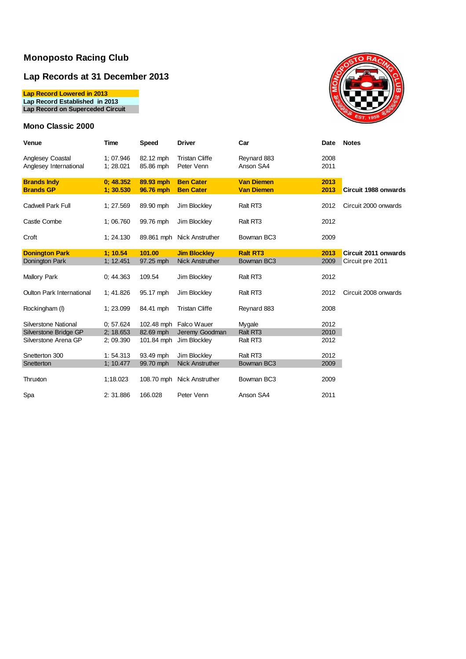## **Lap Records at 31 December 2013**

**Lap Record Lowered in 2013**

**Lap Record Established in 2013**

**Lap Record on Superceded Circuit**

### **Mono Classic 2000**



| Venue                                      | Time                   | <b>Speed</b>           | <b>Driver</b>                        | Car                                    | Date         | <b>Notes</b>         |
|--------------------------------------------|------------------------|------------------------|--------------------------------------|----------------------------------------|--------------|----------------------|
| Anglesey Coastal<br>Anglesey International | 1; 07.946<br>1; 28.021 | 82.12 mph<br>85.86 mph | <b>Tristan Cliffe</b><br>Peter Venn  | Reynard 883<br>Anson SA4               | 2008<br>2011 |                      |
| <b>Brands Indy</b><br><b>Brands GP</b>     | 0; 48.352<br>1:30.530  | 89.93 mph<br>96.76 mph | <b>Ben Cater</b><br><b>Ben Cater</b> | <b>Van Diemen</b><br><b>Van Diemen</b> | 2013<br>2013 | Circuit 1988 onwards |
| <b>Cadwell Park Full</b>                   | 1; 27.569              | 89.90 mph              | Jim Blockley                         | Ralt RT3                               | 2012         | Circuit 2000 onwards |
| Castle Combe                               | 1; 06.760              | 99.76 mph              | Jim Blockley                         | Ralt RT3                               | 2012         |                      |
| Croft                                      | 1:24.130               |                        | 89.861 mph Nick Anstruther           | Bowman BC3                             | 2009         |                      |
| <b>Donington Park</b>                      | 1:10.54                | 101.00                 | <b>Jim Blockley</b>                  | <b>Ralt RT3</b>                        | 2013         | Circuit 2011 onwards |
| Donington Park                             | 1; 12.451              | 97.25 mph              | <b>Nick Anstruther</b>               | Bowman BC3                             | 2009         | Circuit pre 2011     |
| Mallory Park                               | 0: 44.363              | 109.54                 | Jim Blockley                         | Ralt RT3                               | 2012         |                      |
| <b>Oulton Park International</b>           | 1:41.826               | 95.17 mph              | Jim Blockley                         | Ralt RT3                               | 2012         | Circuit 2008 onwards |
| Rockingham (I)                             | 1; 23.099              | 84.41 mph              | <b>Tristan Cliffe</b>                | Reynard 883                            | 2008         |                      |
| Silverstone National                       | 0:57.624               |                        | 102.48 mph Falco Wauer               | Mygale                                 | 2012         |                      |
| Silverstone Bridge GP                      | 2: 18.653              | 82.69 mph              | Jeremy Goodman                       | Ralt RT3                               | 2010         |                      |
| Silverstone Arena GP                       | 2:09.390               | 101.84 mph             | Jim Blockley                         | Ralt RT3                               | 2012         |                      |
| Snetterton 300                             | 1:54.313               | 93.49 mph              | Jim Blockley                         | Ralt RT3                               | 2012         |                      |
| Snetterton                                 | 1:10.477               | 99.70 mph              | <b>Nick Anstruther</b>               | Bowman BC3                             | 2009         |                      |
| Thruxton                                   | 1:18.023               |                        | 108.70 mph Nick Anstruther           | Bowman BC3                             | 2009         |                      |
| Spa                                        | 2:31.886               | 166.028                | Peter Venn                           | Anson SA4                              | 2011         |                      |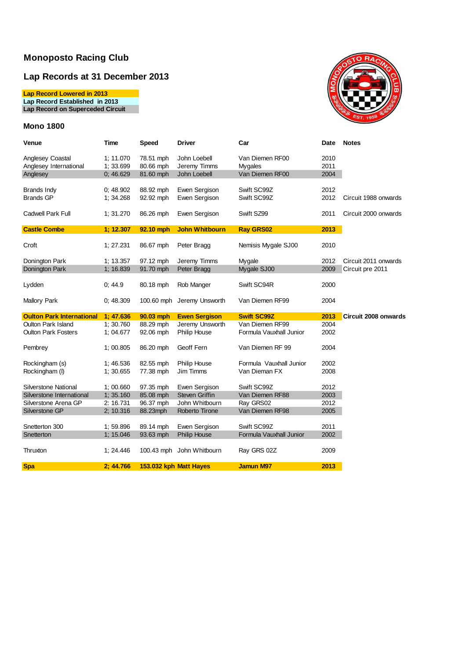## **Lap Records at 31 December 2013**

**Lap Record Lowered in 2013**

**Lap Record Established in 2013**

**Lap Record on Superceded Circuit**

### **Mono 1800**



| Venue                            | Time      | Speed     | <b>Driver</b>              | Car                     | Date | <b>Notes</b>         |
|----------------------------------|-----------|-----------|----------------------------|-------------------------|------|----------------------|
| Anglesey Coastal                 | 1; 11.070 | 78.51 mph | John Loebell               | Van Diemen RF00         | 2010 |                      |
| Anglesey International           | 1; 33.699 | 80.66 mph | Jeremy Timms               | Mygales                 | 2011 |                      |
| Anglesey                         | 0;46.629  | 81.60 mph | John Loebell               | Van Diemen RF00         | 2004 |                      |
| <b>Brands Indy</b>               | 0:48.902  | 88.92 mph | Ewen Sergison              | Swift SC99Z             | 2012 |                      |
| <b>Brands GP</b>                 | 1; 34.268 | 92.92 mph | Ewen Sergison              | Swift SC99Z             | 2012 | Circuit 1988 onwards |
| Cadwell Park Full                | 1; 31.270 | 86.26 mph | Ewen Sergison              | Swift SZ99              | 2011 | Circuit 2000 onwards |
| <b>Castle Combe</b>              | 1; 12.307 | 92.10 mph | <b>John Whitbourn</b>      | <b>Ray GRS02</b>        | 2013 |                      |
| Croft                            | 1; 27.231 | 86.67 mph | Peter Bragg                | Nemisis Mygale SJ00     | 2010 |                      |
| Donington Park                   | 1; 13.357 | 97.12 mph | Jeremy Timms               | Mygale                  | 2012 | Circuit 2011 onwards |
| Donington Park                   | 1; 16.839 | 91.70 mph | Peter Bragg                | Mygale SJ00             | 2009 | Circuit pre 2011     |
| Lydden                           | 0:44.9    | 80.18 mph | Rob Manger                 | Swift SC94R             | 2000 |                      |
| <b>Mallory Park</b>              | 0;48.309  |           | 100.60 mph Jeremy Unsworth | Van Diemen RF99         | 2004 |                      |
| <b>Oulton Park International</b> | 1:47.636  | 90.03 mph | <b>Ewen Sergison</b>       | <b>Swift SC99Z</b>      | 2013 | Circuit 2008 onwards |
| <b>Oulton Park Island</b>        | 1; 30.760 | 88.29 mph | Jeremy Unsworth            | Van Diemen RF99         | 2004 |                      |
| <b>Oulton Park Fosters</b>       | 1; 04.677 | 92.06 mph | <b>Philip House</b>        | Formula Vauxhall Junior | 2002 |                      |
| Pembrey                          | 1; 00.805 | 86.20 mph | Geoff Fern                 | Van Diemen RF 99        | 2004 |                      |
| Rockingham (s)                   | 1:46.536  | 82.55 mph | <b>Philip House</b>        | Formula Vauxhall Junior | 2002 |                      |
| Rockingham (I)                   | 1; 30.655 | 77.38 mph | Jim Timms                  | Van Dieman FX           | 2008 |                      |
| Silverstone National             | 1; 00.660 | 97.35 mph | Ewen Sergison              | Swift SC99Z             | 2012 |                      |
| Silverstone International        | 1; 35.160 | 85.08 mph | Steven Griffin             | Van Diemen RF88         | 2003 |                      |
| Silverstone Arena GP             | 2: 16.731 | 96.37 mph | John Whitbourn             | Ray GRS02               | 2012 |                      |
| Silverstone GP                   | 2; 10.316 | 88.23mph  | Roberto Tirone             | Van Diemen RF98         | 2005 |                      |
| Snetterton 300                   | 1; 59.896 | 89.14 mph | Ewen Sergison              | Swift SC99Z             | 2011 |                      |
| Snetterton                       | 1; 15.046 | 93.63 mph | <b>Philip House</b>        | Formula Vauxhall Junior | 2002 |                      |
| Thruxton                         | 1: 24.446 |           | 100.43 mph John Whitbourn  | Ray GRS 02Z             | 2009 |                      |
| <b>Spa</b>                       | 2:44.766  |           | 153.032 kph Matt Hayes     | <b>Jamun M97</b>        | 2013 |                      |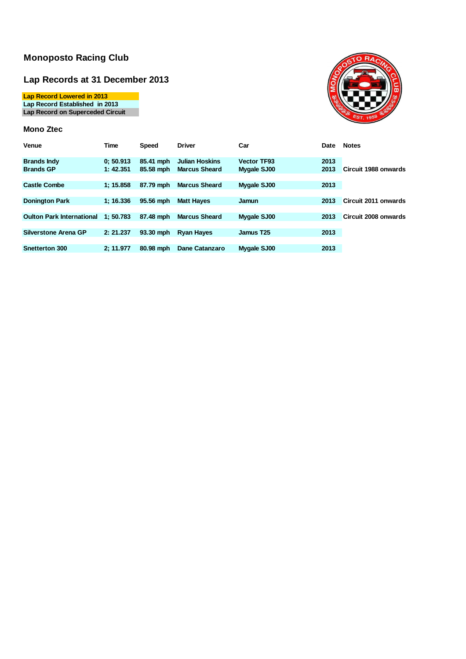### **Lap Records at 31 December 2013**

**Lap Record Lowered in 2013 Lap Record Established in 2013 Lap Record on Superceded Circuit**

#### **Mono Ztec**



| Venue                            | Time      | <b>Speed</b> | <b>Driver</b>         | Car                | Date | <b>Notes</b>                |
|----------------------------------|-----------|--------------|-----------------------|--------------------|------|-----------------------------|
| <b>Brands Indy</b>               | 0:50.913  | 85.41 mph    | <b>Julian Hoskins</b> | <b>Vector TF93</b> | 2013 |                             |
| <b>Brands GP</b>                 | 1: 42.351 | 85.58 mph    | <b>Marcus Sheard</b>  | Mygale SJ00        | 2013 | Circuit 1988 onwards        |
|                                  |           |              |                       |                    |      |                             |
| <b>Castle Combe</b>              | 1:15.858  | 87.79 mph    | <b>Marcus Sheard</b>  | Mygale SJ00        | 2013 |                             |
|                                  |           |              |                       |                    |      |                             |
| <b>Donington Park</b>            | 1:16.336  | 95.56 mph    | <b>Matt Haves</b>     | Jamun              | 2013 | <b>Circuit 2011 onwards</b> |
|                                  |           |              |                       |                    |      |                             |
| <b>Oulton Park International</b> | 1:50.783  | 87.48 mph    | <b>Marcus Sheard</b>  | Mygale SJ00        | 2013 | Circuit 2008 onwards        |
|                                  |           |              |                       |                    |      |                             |
| Silverstone Arena GP             | 2: 21.237 | 93.30 mph    | <b>Rvan Haves</b>     | Jamus T25          | 2013 |                             |
|                                  |           |              |                       |                    |      |                             |
| <b>Snetterton 300</b>            | 2: 11.977 | 80.98 mph    | <b>Dane Catanzaro</b> | Mygale SJ00        | 2013 |                             |
|                                  |           |              |                       |                    |      |                             |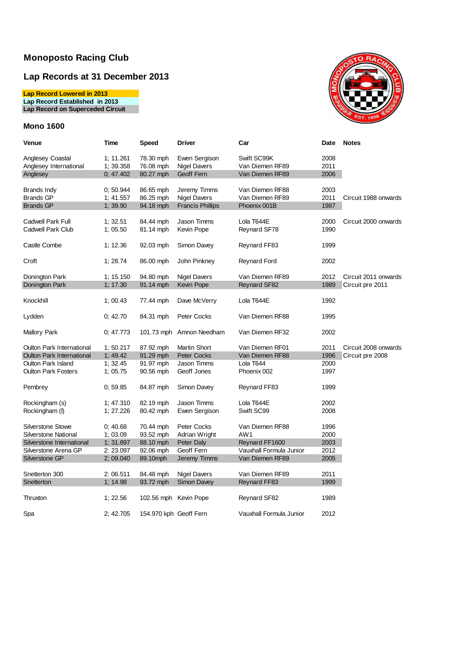## **Lap Records at 31 December 2013**

**Lap Record Lowered in 2013**

**Lap Record Established in 2013**

**Lap Record on Superceded Circuit**

### **Mono 1600**



| Venue                            | Time      | Speed                  | Driver                   | Car                     | Date | <b>Notes</b>         |
|----------------------------------|-----------|------------------------|--------------------------|-------------------------|------|----------------------|
| Anglesey Coastal                 | 1; 11.261 | 78.30 mph              | Ewen Sergison            | Swift SC99K             | 2008 |                      |
| Anglesey International           | 1; 39.358 | 76.08 mph              | <b>Nigel Davers</b>      | Van Diemen RF89         | 2011 |                      |
| Anglesey                         | 0; 47.402 | 80.27 mph              | Geoff Fern               | Van Diemen RF89         | 2006 |                      |
|                                  |           |                        |                          |                         |      |                      |
| Brands Indy                      | 0:50.944  | 86.65 mph              | Jeremy Timms             | Van Diemen RF88         | 2003 |                      |
| <b>Brands GP</b>                 | 1; 41.557 | 86.25 mph              | <b>Nigel Davers</b>      | Van Diemen RF89         | 2011 | Circuit 1988 onwards |
| <b>Brands GP</b>                 | 1; 39.90  | 94.18 mph              | <b>Francis Phillips</b>  | Phoenix 001B            | 1987 |                      |
|                                  |           |                        |                          |                         |      |                      |
| <b>Cadwell Park Full</b>         | 1; 32.51  | 84.44 mph              | Jason Timms              | Lola T644E              | 2000 | Circuit 2000 onwards |
| <b>Cadwell Park Club</b>         | 1:05.50   | 81.14 mph              | Kevin Pope               | Reynard SF78            | 1990 |                      |
|                                  |           |                        |                          |                         |      |                      |
| Castle Combe                     | 1; 12.36  | 92.03 mph              | Simon Davey              | Reynard FF83            | 1999 |                      |
| Croft                            |           |                        |                          |                         | 2002 |                      |
|                                  | 1; 28.74  | 86.00 mph              | John Pinkney             | Reynard Ford            |      |                      |
| Donington Park                   | 1; 15.150 | 94.80 mph              | <b>Nigel Davers</b>      | Van Diemen RF89         | 2012 | Circuit 2011 onwards |
| Donington Park                   | 1; 17.30  | 91.14 mph              | Kevin Pope               | Reynard SF82            | 1989 | Circuit pre 2011     |
|                                  |           |                        |                          |                         |      |                      |
| Knockhill                        | 1;00.43   | 77.44 mph              | Dave McVerry             | Lola T644E              | 1992 |                      |
|                                  |           |                        |                          |                         |      |                      |
| Lydden                           | 0; 42.70  | 84.31 mph              | Peter Cocks              | Van Diemen RF88         | 1995 |                      |
|                                  |           |                        |                          |                         |      |                      |
| Mallory Park                     | 0:47.773  |                        | 101.73 mph Amnon Needham | Van Diemen RF32         | 2002 |                      |
|                                  |           |                        |                          |                         |      |                      |
| Oulton Park International        | 1; 50.217 | 87.92 mph              | <b>Martin Short</b>      | Van Diemen RF01         | 2011 | Circuit 2008 onwards |
| <b>Oulton Park International</b> | 1;49.42   | 91.29 mph              | <b>Peter Cocks</b>       | Van Diemen RF88         | 1996 | Circuit pre 2008     |
| Oulton Park Island               | 1; 32.45  | 91.97 mph              | Jason Timms              | Lola T644               | 2000 |                      |
| <b>Oulton Park Fosters</b>       | 1;05.75   | 90.56 mph              | Geoff Jones              | Phoenix 002             | 1997 |                      |
|                                  |           |                        |                          |                         |      |                      |
| Pembrey                          | 0:59.85   | 84.87 mph              | Simon Davey              | Reynard FF83            | 1999 |                      |
|                                  |           |                        |                          |                         |      |                      |
| Rockingham (s)                   | 1; 47.310 | 82.19 mph              | Jason Timms              | Lola T644E              | 2002 |                      |
| Rockingham (I)                   | 1; 27.226 | 80.42 mph              | Ewen Sergison            | Swift SC99              | 2008 |                      |
|                                  |           |                        |                          |                         |      |                      |
| <b>Silverstone Stowe</b>         | 0; 40.68  | 70.44 mph              | Peter Cocks              | Van Diemen RF88         | 1996 |                      |
| <b>Silverstone National</b>      | 1; 03.09  | 93.52 mph              | Adrian Wright            | AW1                     | 2000 |                      |
| Silverstone International        | 1; 31.897 | 88.10 mph              | Peter Daly               | Reynard FF1600          | 2003 |                      |
| Silverstone Arena GP             | 2: 23.097 | 92.06 mph              | Geoff Fern               | Vauxhall Formula Junior | 2012 |                      |
| Silverstone GP                   | 2; 09.040 | 89.10mph               | Jeremy Timms             | Van Diemen RF89         | 2005 |                      |
|                                  |           |                        |                          |                         |      |                      |
| Snetterton 300                   | 2:06.511  | 84.48 mph              | Nigel Davers             | Van Diemen RF89         | 2011 |                      |
| Snetterton                       | 1; 14.98  | 93.72 mph              | Simon Davey              | Reynard FF83            | 1999 |                      |
| Thruxton                         | 1:22.56   | 102.56 mph Kevin Pope  |                          |                         | 1989 |                      |
|                                  |           |                        |                          | Reynard SF82            |      |                      |
| Spa                              | 2; 42.705 | 154.970 kph Geoff Fern |                          | Vauxhall Formula Junior | 2012 |                      |
|                                  |           |                        |                          |                         |      |                      |